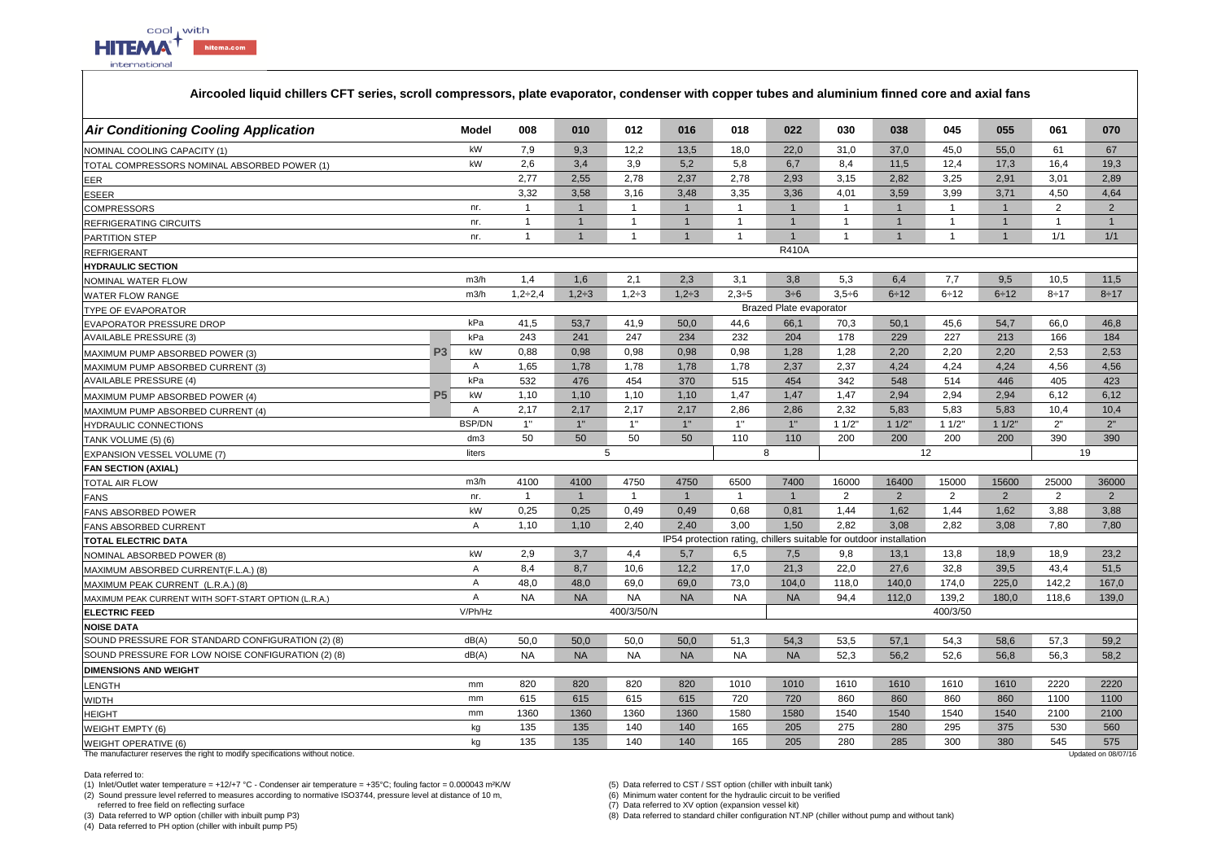

## **Aircooled liquid chillers CFT series, scroll compressors, plate evaporator, condenser with copper tubes and aluminium finned core and axial fans**

| <b>Air Conditioning Cooling Application</b>          | Model                | 008            | 010            | 012            | 016            | 018            | 022                            | 030                                                                | 038            | 045            | 055            | 061            | 070            |
|------------------------------------------------------|----------------------|----------------|----------------|----------------|----------------|----------------|--------------------------------|--------------------------------------------------------------------|----------------|----------------|----------------|----------------|----------------|
| NOMINAL COOLING CAPACITY (1)                         | kW                   | 7,9            | 9,3            | 12.2           | 13,5           | 18,0           | 22.0                           | 31.0                                                               | 37,0           | 45,0           | 55,0           | 61             | 67             |
| TOTAL COMPRESSORS NOMINAL ABSORBED POWER (1)         | kW                   | 2,6            | 3,4            | 3,9            | 5,2            | 5,8            | 6.7                            | 8,4                                                                | 11,5           | 12,4           | 17,3           | 16.4           | 19,3           |
| EER                                                  |                      | 2,77           | 2,55           | 2,78           | 2,37           | 2,78           | 2,93                           | 3,15                                                               | 2,82           | 3,25           | 2,91           | 3,01           | 2,89           |
| <b>ESEER</b>                                         |                      | 3,32           | 3.58           | 3.16           | 3,48           | 3,35           | 3,36                           | 4,01                                                               | 3,59           | 3,99           | 3,71           | 4,50           | 4,64           |
| COMPRESSORS                                          | nr.                  | $\overline{1}$ | $\overline{1}$ | $\mathbf{1}$   | $\overline{1}$ | $\overline{1}$ | $\overline{1}$                 | $\overline{1}$                                                     | $\overline{1}$ | $\overline{1}$ | $\mathbf{1}$   | $\overline{2}$ | 2              |
| REFRIGERATING CIRCUITS                               | nr.                  | $\mathbf{1}$   | $\mathbf{1}$   | $\mathbf{1}$   | $\overline{1}$ | $\overline{1}$ | $\mathbf{1}$                   | $\mathbf{1}$                                                       | $\overline{1}$ | $\overline{1}$ | $\mathbf{1}$   | $\mathbf{1}$   | $\mathbf{1}$   |
| PARTITION STEP                                       | nr.                  | $\mathbf{1}$   | $\mathbf{1}$   | $\mathbf{1}$   | $\mathbf{1}$   | $\overline{1}$ | $\mathbf{1}$                   | $\mathbf{1}$                                                       | $\overline{1}$ | $\overline{1}$ | $\mathbf{1}$   | 1/1            | 1/1            |
| <b>REFRIGERANT</b>                                   |                      |                |                |                |                |                | <b>R410A</b>                   |                                                                    |                |                |                |                |                |
| <b>HYDRAULIC SECTION</b>                             |                      |                |                |                |                |                |                                |                                                                    |                |                |                |                |                |
| NOMINAL WATER FLOW                                   | m3/h                 | 1.4            | 1.6            | 2,1            | 2,3            | 3,1            | 3,8                            | 5,3                                                                | 6,4            | 7,7            | 9,5            | 10,5           | 11,5           |
| <b>WATER FLOW RANGE</b>                              | m3/h                 | $1,2 \div 2,4$ | $1,2+3$        | $1,2+3$        | $1,2+3$        | $2,3+5$        | $3\div 6$                      | $3,5 \div 6$                                                       | $6 \div 12$    | 6:12           | 6:12           | $8 + 17$       | $8 \div 17$    |
| <b>TYPE OF EVAPORATOR</b>                            |                      |                |                |                |                |                | <b>Brazed Plate evaporator</b> |                                                                    |                |                |                |                |                |
| <b>EVAPORATOR PRESSURE DROP</b>                      | kPa                  | 41,5           | 53,7           | 41.9           | 50,0           | 44,6           | 66,1                           | 70,3                                                               | 50,1           | 45,6           | 54,7           | 66.0           | 46,8           |
| <b>AVAILABLE PRESSURE (3)</b>                        | kPa                  | 243            | 241            | 247            | 234            | 232            | 204                            | 178                                                                | 229            | 227            | 213            | 166            | 184            |
| MAXIMUM PUMP ABSORBED POWER (3)                      | kW<br>P <sub>3</sub> | 0.88           | 0.98           | 0.98           | 0,98           | 0,98           | 1,28                           | 1,28                                                               | 2,20           | 2.20           | 2.20           | 2,53           | 2,53           |
| MAXIMUM PUMP ABSORBED CURRENT (3)                    | Α                    | 1,65           | 1,78           | 1,78           | 1,78           | 1,78           | 2,37                           | 2,37                                                               | 4,24           | 4,24           | 4,24           | 4,56           | 4,56           |
| <b>AVAILABLE PRESSURE (4)</b>                        | kPa                  | 532            | 476            | 454            | 370            | 515            | 454                            | 342                                                                | 548            | 514            | 446            | 405            | 423            |
| MAXIMUM PUMP ABSORBED POWER (4)                      | <b>P5</b><br>kW      | 1,10           | 1,10           | 1,10           | 1,10           | 1,47           | 1,47                           | 1,47                                                               | 2,94           | 2,94           | 2,94           | 6.12           | 6,12           |
| MAXIMUM PUMP ABSORBED CURRENT (4)                    | $\overline{A}$       | 2,17           | 2,17           | 2,17           | 2,17           | 2,86           | 2,86                           | 2,32                                                               | 5,83           | 5,83           | 5,83           | 10,4           | 10,4           |
| HYDRAULIC CONNECTIONS                                | <b>BSP/DN</b>        | 1"             | 1"             | 1"             | 1"             | 1"             | 1"                             | 11/2"                                                              | 11/2"          | 11/2"          | 11/2"          | 2"             | 2"             |
|                                                      |                      |                |                |                |                |                |                                |                                                                    |                |                |                |                |                |
| TANK VOLUME (5) (6)                                  | dm3                  | 50             | 50             | 50             | 50             | 110            | 110                            | 200                                                                | 200            | 200            | 200            | 390            | 390            |
| <b>EXPANSION VESSEL VOLUME (7)</b>                   | liters               |                |                | $\overline{5}$ |                |                | 8                              |                                                                    |                | 12             |                |                | 19             |
| <b>FAN SECTION (AXIAL)</b>                           |                      |                |                |                |                |                |                                |                                                                    |                |                |                |                |                |
| <b>TOTAL AIR FLOW</b>                                | m3/h                 | 4100           | 4100           | 4750           | 4750           | 6500           | 7400                           | 16000                                                              | 16400          | 15000          | 15600          | 25000          | 36000          |
| <b>FANS</b>                                          | nr.                  | $\overline{1}$ | $\overline{1}$ | $\mathbf{1}$   | $\overline{1}$ | $\overline{1}$ | $\overline{1}$                 | $\overline{2}$                                                     | 2              | 2              | $\overline{2}$ | $\overline{2}$ | $\overline{2}$ |
| <b>FANS ABSORBED POWER</b>                           | kW                   | 0.25           | 0.25           | 0.49           | 0,49           | 0.68           | 0.81                           | 1,44                                                               | 1,62           | 1,44           | 1,62           | 3.88           | 3,88           |
| <b>FANS ABSORBED CURRENT</b>                         | Α                    | 1,10           | 1,10           | 2,40           | 2.40           | 3,00           | 1,50                           | 2,82                                                               | 3,08           | 2.82           | 3,08           | 7,80           | 7,80           |
| <b>TOTAL ELECTRIC DATA</b>                           |                      |                |                |                |                |                |                                | IP54 protection rating, chillers suitable for outdoor installation |                |                |                |                |                |
| NOMINAL ABSORBED POWER (8)                           | kW                   | 2,9            | 3,7            | 4,4            | 5,7            | 6,5            | 7,5                            | 9,8                                                                | 13,1           | 13,8           | 18,9           | 18,9           | 23,2           |
| MAXIMUM ABSORBED CURRENT(F.L.A.) (8)                 | Α                    | 8,4            | 8,7            | 10,6           | 12,2           | 17,0           | 21,3                           | 22,0                                                               | 27,6           | 32,8           | 39,5           | 43,4           | 51,5           |
| MAXIMUM PEAK CURRENT (L.R.A.) (8)                    | A                    | 48,0           | 48,0           | 69,0           | 69,0           | 73,0           | 104,0                          | 118,0                                                              | 140,0          | 174,0          | 225,0          | 142,2          | 167,0          |
| MAXIMUM PEAK CURRENT WITH SOFT-START OPTION (L.R.A.) | $\overline{A}$       | <b>NA</b>      | <b>NA</b>      | <b>NA</b>      | <b>NA</b>      | <b>NA</b>      | <b>NA</b>                      | 94.4                                                               | 112.0          | 139.2          | 180.0          | 118.6          | 139.0          |
| <b>ELECTRIC FEED</b>                                 | V/Ph/Hz              |                |                | 400/3/50/N     |                |                |                                |                                                                    |                | 400/3/50       |                |                |                |
| <b>NOISE DATA</b>                                    |                      |                |                |                |                |                |                                |                                                                    |                |                |                |                |                |
| SOUND PRESSURE FOR STANDARD CONFIGURATION (2) (8)    | dB(A)                | 50,0           | 50,0           | 50,0           | 50,0           | 51,3           | 54,3                           | 53,5                                                               | 57,1           | 54,3           | 58,6           | 57,3           | 59,2           |
| SOUND PRESSURE FOR LOW NOISE CONFIGURATION (2) (8)   | dB(A)                | <b>NA</b>      | <b>NA</b>      | <b>NA</b>      | <b>NA</b>      | <b>NA</b>      | <b>NA</b>                      | 52,3                                                               | 56,2           | 52,6           | 56,8           | 56,3           | 58,2           |
| <b>DIMENSIONS AND WEIGHT</b>                         |                      |                |                |                |                |                |                                |                                                                    |                |                |                |                |                |
| ENGTH.                                               | mm                   | 820            | 820            | 820            | 820            | 1010           | 1010                           | 1610                                                               | 1610           | 1610           | 1610           | 2220           | 2220           |
| WIDTH                                                | mm                   | 615            | 615            | 615            | 615            | 720            | 720                            | 860                                                                | 860            | 860            | 860            | 1100           | 1100           |
| <b>IEIGHT</b>                                        | mm                   | 1360           | 1360           | 1360           | 1360           | 1580           | 1580                           | 1540                                                               | 1540           | 1540           | 1540           | 2100           | 2100           |
| VEIGHT EMPTY (6)                                     | kg<br>kg             | 135<br>135     | 135<br>135     | 140<br>140     | 140<br>140     | 165<br>165     | 205<br>205                     | 275<br>280                                                         | 280<br>285     | 295<br>300     | 375<br>380     | 530<br>545     | 560<br>575     |

The manufacturer reserves the right to modify specifications without notice.

Data referred to:

(1) Inlet/Outlet water temperature = +12/+7 °C - Condenser air temperature = +35°C; fouling factor = 0.000043 m²K/W (5) Data referred to CST / SST option (chiller with inbuilt tank)

(2) Sound pressure level referred to measures according to normative ISO3744, pressure level at distance of 10 m,

referred to free field on reflecting surface

(3) Data referred to WP option (chiller with inbuilt pump P3)

(4) Data referred to PH option (chiller with inbuilt pump P5)

(6) Minimum water content for the hydraulic circuit to be verified

(7) Data referred to XV option (expansion vessel kit) (8) Data referred to standard chiller configuration NT.NP (chiller without pump and without tank)

Updated on 08/07/16